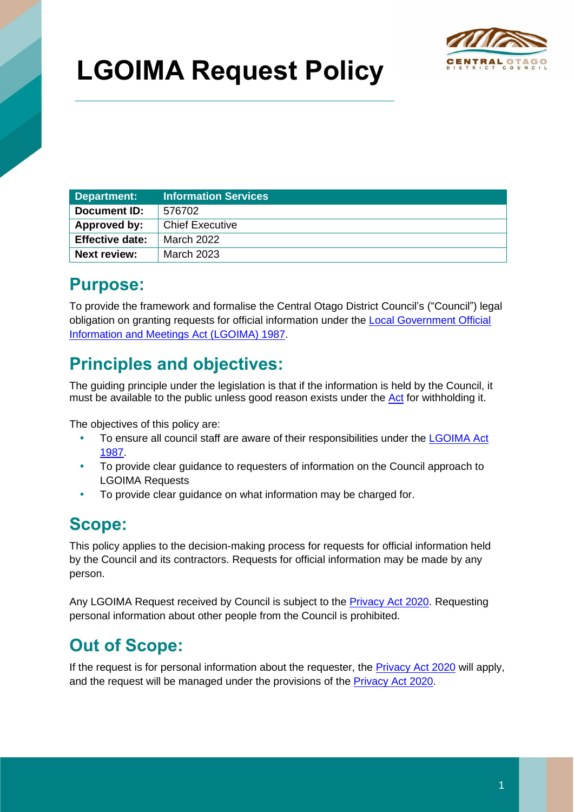

# **LGOIMA Request Policy**

| Department:            | <b>Information Services</b> |
|------------------------|-----------------------------|
| Document ID:           | 576702                      |
| Approved by:           | <b>Chief Executive</b>      |
| <b>Effective date:</b> | March 2022                  |
| Next review:           | <b>March 2023</b>           |

## **Purpose:**

To provide the framework and formalise the Central Otago District Council's ("Council") legal obligation on granting requests for official information under the [Local Government Official](https://www.legislation.govt.nz/act/public/1987/0174/latest/DLM122242.html)  [Information and Meetings Act \(LGOIMA\) 1987.](https://www.legislation.govt.nz/act/public/1987/0174/latest/DLM122242.html)

## **Principles and objectives:**

The guiding principle under the legislation is that if the information is held by the Council, it must be available to the public unless good reason exists under the [Act](https://www.legislation.govt.nz/act/public/1987/0174/latest/DLM122242.html) for withholding it.

The objectives of this policy are:

- To ensure all council staff are aware of their responsibilities under the [LGOIMA Act](https://www.legislation.govt.nz/act/public/1987/0174/latest/DLM122242.html)  [1987.](https://www.legislation.govt.nz/act/public/1987/0174/latest/DLM122242.html)
- To provide clear guidance to requesters of information on the Council approach to LGOIMA Requests
- To provide clear guidance on what information may be charged for.

## **Scope:**

This policy applies to the decision-making process for requests for official information held by the Council and its contractors. Requests for official information may be made by any person.

Any LGOIMA Request received by Council is subject to the [Privacy Act 2020.](https://www.legislation.govt.nz/act/public/2020/0031/latest/LMS23223.html) Requesting personal information about other people from the Council is prohibited.

## **Out of Scope:**

If the request is for personal information about the requester, the **Privacy Act 2020** will apply, and the request will be managed under the provisions of the [Privacy Act](https://www.legislation.govt.nz/act/public/2020/0031/latest/LMS23223.html) 2020.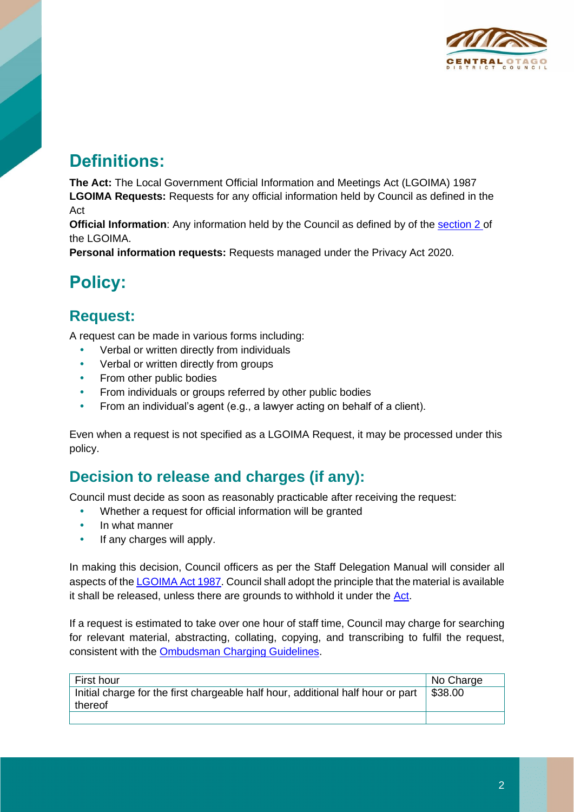

## **Definitions:**

**The Act:** The Local Government Official Information and Meetings Act (LGOIMA) 1987 **LGOIMA Requests:** Requests for any official information held by Council as defined in the Act

**Official Information:** Any information held by the Council as defined by of the [section 2](http://www.legislation.govt.nz/act/public/1987/0174/latest/DLM122247.html) of the LGOIMA.

**Personal information requests:** Requests managed under the Privacy Act 2020.

## **Policy:**

#### **Request:**

A request can be made in various forms including:

- Verbal or written directly from individuals
- Verbal or written directly from groups
- From other public bodies
- From individuals or groups referred by other public bodies
- From an individual's agent (e.g., a lawyer acting on behalf of a client).

Even when a request is not specified as a LGOIMA Request, it may be processed under this policy.

#### **Decision to release and charges (if any):**

Council must decide as soon as reasonably practicable after receiving the request:

- Whether a request for official information will be granted
- In what manner
- If any charges will apply.

In making this decision, Council officers as per the Staff Delegation Manual will consider all aspects of th[e LGOIMA](https://www.legislation.govt.nz/act/public/1987/0174/latest/DLM122242.html) Act 1987. Council shall adopt the principle that the material is available it shall be released, unless there are grounds to withhold it under the  $Act.$ 

If a request is estimated to take over one hour of staff time, Council may charge for searching for relevant material, abstracting, collating, copying, and transcribing to fulfil the request, consistent with the [Ombudsman Charging Guidelines.](https://cdocs.codc.govt.nz/docs/~D435257?Login=True)

| ∣ First hour                                                                    | No Charge |
|---------------------------------------------------------------------------------|-----------|
| Initial charge for the first chargeable half hour, additional half hour or part | \$38.00   |
| thereof                                                                         |           |
|                                                                                 |           |